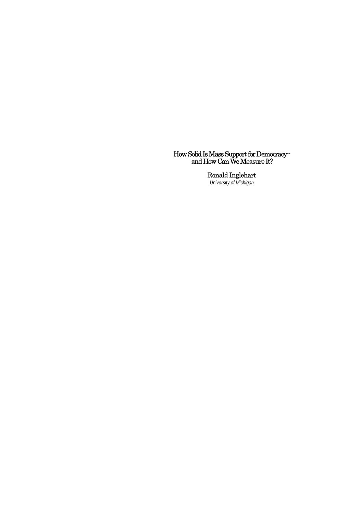#### How Solid Is Mass Support for Democracy- and How Can We Measure It?

 Ronald Inglehart *University of Michigan*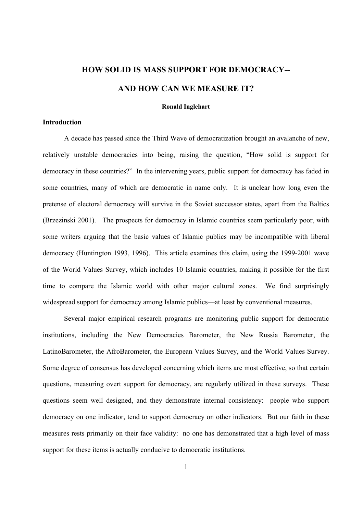# **HOW SOLID IS MASS SUPPORT FOR DEMOCRACY-- AND HOW CAN WE MEASURE IT?**

#### **Ronald Inglehart**

#### **Introduction**

 A decade has passed since the Third Wave of democratization brought an avalanche of new, relatively unstable democracies into being, raising the question, "How solid is support for democracy in these countries?" In the intervening years, public support for democracy has faded in some countries, many of which are democratic in name only. It is unclear how long even the pretense of electoral democracy will survive in the Soviet successor states, apart from the Baltics (Brzezinski 2001). The prospects for democracy in Islamic countries seem particularly poor, with some writers arguing that the basic values of Islamic publics may be incompatible with liberal democracy (Huntington 1993, 1996). This article examines this claim, using the 1999-2001 wave of the World Values Survey, which includes 10 Islamic countries, making it possible for the first time to compare the Islamic world with other major cultural zones. We find surprisingly widespread support for democracy among Islamic publics—at least by conventional measures.

 Several major empirical research programs are monitoring public support for democratic institutions, including the New Democracies Barometer, the New Russia Barometer, the LatinoBarometer, the AfroBarometer, the European Values Survey, and the World Values Survey. Some degree of consensus has developed concerning which items are most effective, so that certain questions, measuring overt support for democracy, are regularly utilized in these surveys. These questions seem well designed, and they demonstrate internal consistency: people who support democracy on one indicator, tend to support democracy on other indicators. But our faith in these measures rests primarily on their face validity: no one has demonstrated that a high level of mass support for these items is actually conducive to democratic institutions.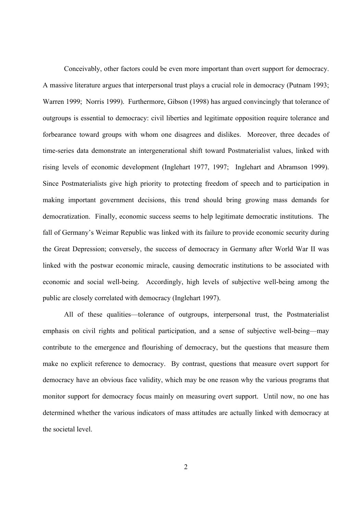Conceivably, other factors could be even more important than overt support for democracy. A massive literature argues that interpersonal trust plays a crucial role in democracy (Putnam 1993; Warren 1999; Norris 1999). Furthermore, Gibson (1998) has argued convincingly that tolerance of outgroups is essential to democracy: civil liberties and legitimate opposition require tolerance and forbearance toward groups with whom one disagrees and dislikes. Moreover, three decades of time-series data demonstrate an intergenerational shift toward Postmaterialist values, linked with rising levels of economic development (Inglehart 1977, 1997; Inglehart and Abramson 1999). Since Postmaterialists give high priority to protecting freedom of speech and to participation in making important government decisions, this trend should bring growing mass demands for democratization. Finally, economic success seems to help legitimate democratic institutions. The fall of Germany's Weimar Republic was linked with its failure to provide economic security during the Great Depression; conversely, the success of democracy in Germany after World War II was linked with the postwar economic miracle, causing democratic institutions to be associated with economic and social well-being. Accordingly, high levels of subjective well-being among the public are closely correlated with democracy (Inglehart 1997).

All of these qualities—tolerance of outgroups, interpersonal trust, the Postmaterialist emphasis on civil rights and political participation, and a sense of subjective well-being—may contribute to the emergence and flourishing of democracy, but the questions that measure them make no explicit reference to democracy. By contrast, questions that measure overt support for democracy have an obvious face validity, which may be one reason why the various programs that monitor support for democracy focus mainly on measuring overt support. Until now, no one has determined whether the various indicators of mass attitudes are actually linked with democracy at the societal level.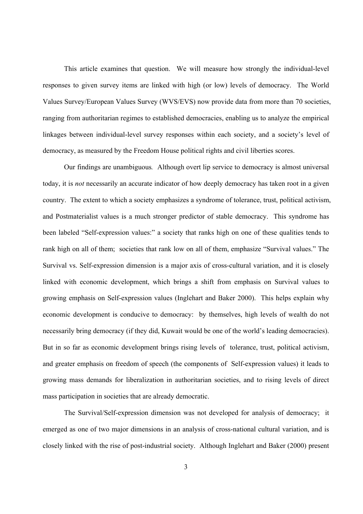This article examines that question. We will measure how strongly the individual-level responses to given survey items are linked with high (or low) levels of democracy. The World Values Survey/European Values Survey (WVS/EVS) now provide data from more than 70 societies, ranging from authoritarian regimes to established democracies, enabling us to analyze the empirical linkages between individual-level survey responses within each society, and a society's level of democracy, as measured by the Freedom House political rights and civil liberties scores.

Our findings are unambiguous*.* Although overt lip service to democracy is almost universal today, it is *not* necessarily an accurate indicator of how deeply democracy has taken root in a given country. The extent to which a society emphasizes a syndrome of tolerance, trust, political activism, and Postmaterialist values is a much stronger predictor of stable democracy. This syndrome has been labeled "Self-expression values:" a society that ranks high on one of these qualities tends to rank high on all of them; societies that rank low on all of them, emphasize "Survival values." The Survival vs. Self-expression dimension is a major axis of cross-cultural variation, and it is closely linked with economic development, which brings a shift from emphasis on Survival values to growing emphasis on Self-expression values (Inglehart and Baker 2000). This helps explain why economic development is conducive to democracy: by themselves, high levels of wealth do not necessarily bring democracy (if they did, Kuwait would be one of the world's leading democracies). But in so far as economic development brings rising levels of tolerance, trust, political activism, and greater emphasis on freedom of speech (the components of Self-expression values) it leads to growing mass demands for liberalization in authoritarian societies, and to rising levels of direct mass participation in societies that are already democratic.

The Survival/Self-expression dimension was not developed for analysis of democracy; it emerged as one of two major dimensions in an analysis of cross-national cultural variation, and is closely linked with the rise of post-industrial society. Although Inglehart and Baker (2000) present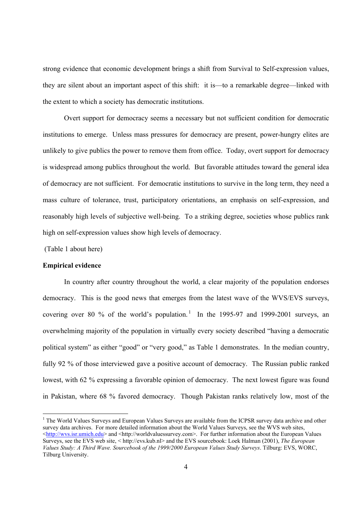strong evidence that economic development brings a shift from Survival to Self-expression values, they are silent about an important aspect of this shift: it is—to a remarkable degree—linked with the extent to which a society has democratic institutions.

 Overt support for democracy seems a necessary but not sufficient condition for democratic institutions to emerge. Unless mass pressures for democracy are present, power-hungry elites are unlikely to give publics the power to remove them from office. Today, overt support for democracy is widespread among publics throughout the world. But favorable attitudes toward the general idea of democracy are not sufficient. For democratic institutions to survive in the long term, they need a mass culture of tolerance, trust, participatory orientations, an emphasis on self-expression, and reasonably high levels of subjective well-being. To a striking degree, societies whose publics rank high on self-expression values show high levels of democracy.

(Table 1 about here)

#### **Empirical evidence**

-

In country after country throughout the world, a clear majority of the population endorses democracy. This is the good news that emerges from the latest wave of the WVS/EVS surveys, covering over 80 % of the world's population.<sup>1</sup> In the 1995-97 and 1999-2001 surveys, an overwhelming majority of the population in virtually every society described "having a democratic political system" as either "good" or "very good," as Table 1 demonstrates. In the median country, fully 92 % of those interviewed gave a positive account of democracy. The Russian public ranked lowest, with 62 % expressing a favorable opinion of democracy. The next lowest figure was found in Pakistan, where 68 % favored democracy. Though Pakistan ranks relatively low, most of the

<sup>&</sup>lt;sup>1</sup> The World Values Surveys and European Values Surveys are available from the ICPSR survey data archive and other survey data archives. For more detailed information about the World Values Surveys, see the WVS web sites,  $\text{Khttp://wvs.isr.umich.edu> and \n For further information about the European Values$ Surveys, see the EVS web site, < http://evs.kub.nl> and the EVS sourcebook: Loek Halman (2001), *The European Values Study: A Third Wave. Sourcebook of the 1999/2000 European Values Study Surveys*. Tilburg: EVS, WORC, Tilburg University.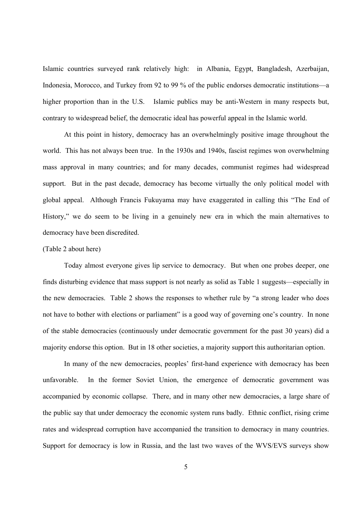Islamic countries surveyed rank relatively high: in Albania, Egypt, Bangladesh, Azerbaijan, Indonesia, Morocco, and Turkey from 92 to 99 % of the public endorses democratic institutions—a higher proportion than in the U.S. Islamic publics may be anti-Western in many respects but, contrary to widespread belief, the democratic ideal has powerful appeal in the Islamic world.

At this point in history, democracy has an overwhelmingly positive image throughout the world. This has not always been true. In the 1930s and 1940s, fascist regimes won overwhelming mass approval in many countries; and for many decades, communist regimes had widespread support. But in the past decade, democracy has become virtually the only political model with global appeal. Although Francis Fukuyama may have exaggerated in calling this "The End of History," we do seem to be living in a genuinely new era in which the main alternatives to democracy have been discredited.

#### (Table 2 about here)

Today almost everyone gives lip service to democracy. But when one probes deeper, one finds disturbing evidence that mass support is not nearly as solid as Table 1 suggests—especially in the new democracies. Table 2 shows the responses to whether rule by "a strong leader who does not have to bother with elections or parliament" is a good way of governing one's country. In none of the stable democracies (continuously under democratic government for the past 30 years) did a majority endorse this option. But in 18 other societies, a majority support this authoritarian option.

In many of the new democracies, peoples' first-hand experience with democracy has been unfavorable. In the former Soviet Union, the emergence of democratic government was accompanied by economic collapse. There, and in many other new democracies, a large share of the public say that under democracy the economic system runs badly. Ethnic conflict, rising crime rates and widespread corruption have accompanied the transition to democracy in many countries. Support for democracy is low in Russia, and the last two waves of the WVS/EVS surveys show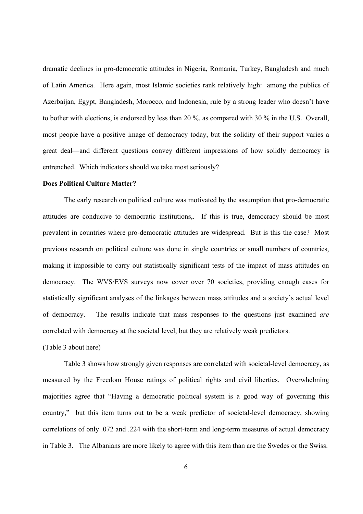dramatic declines in pro-democratic attitudes in Nigeria, Romania, Turkey, Bangladesh and much of Latin America. Here again, most Islamic societies rank relatively high: among the publics of Azerbaijan, Egypt, Bangladesh, Morocco, and Indonesia, rule by a strong leader who doesn't have to bother with elections, is endorsed by less than 20 %, as compared with 30 % in the U.S. Overall, most people have a positive image of democracy today, but the solidity of their support varies a great deal—and different questions convey different impressions of how solidly democracy is entrenched. Which indicators should we take most seriously?

## **Does Political Culture Matter?**

The early research on political culture was motivated by the assumption that pro-democratic attitudes are conducive to democratic institutions,. If this is true, democracy should be most prevalent in countries where pro-democratic attitudes are widespread. But is this the case? Most previous research on political culture was done in single countries or small numbers of countries, making it impossible to carry out statistically significant tests of the impact of mass attitudes on democracy. The WVS/EVS surveys now cover over 70 societies, providing enough cases for statistically significant analyses of the linkages between mass attitudes and a society's actual level of democracy. The results indicate that mass responses to the questions just examined *are* correlated with democracy at the societal level, but they are relatively weak predictors.

(Table 3 about here)

 Table 3 shows how strongly given responses are correlated with societal-level democracy, as measured by the Freedom House ratings of political rights and civil liberties. Overwhelming majorities agree that "Having a democratic political system is a good way of governing this country," but this item turns out to be a weak predictor of societal-level democracy, showing correlations of only .072 and .224 with the short-term and long-term measures of actual democracy in Table 3. The Albanians are more likely to agree with this item than are the Swedes or the Swiss.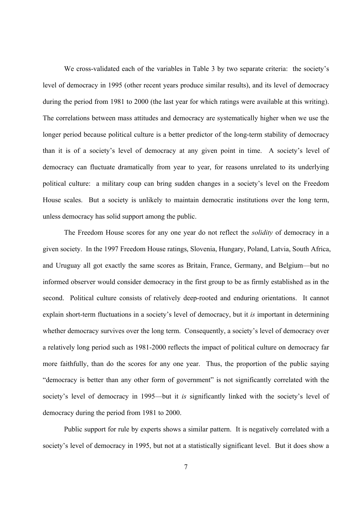We cross-validated each of the variables in Table 3 by two separate criteria: the society's level of democracy in 1995 (other recent years produce similar results), and its level of democracy during the period from 1981 to 2000 (the last year for which ratings were available at this writing). The correlations between mass attitudes and democracy are systematically higher when we use the longer period because political culture is a better predictor of the long-term stability of democracy than it is of a society's level of democracy at any given point in time. A society's level of democracy can fluctuate dramatically from year to year, for reasons unrelated to its underlying political culture: a military coup can bring sudden changes in a society's level on the Freedom House scales. But a society is unlikely to maintain democratic institutions over the long term, unless democracy has solid support among the public.

 The Freedom House scores for any one year do not reflect the *solidity* of democracy in a given society. In the 1997 Freedom House ratings, Slovenia, Hungary, Poland, Latvia, South Africa, and Uruguay all got exactly the same scores as Britain, France, Germany, and Belgium—but no informed observer would consider democracy in the first group to be as firmly established as in the second. Political culture consists of relatively deep-rooted and enduring orientations. It cannot explain short-term fluctuations in a society's level of democracy, but it *is* important in determining whether democracy survives over the long term. Consequently, a society's level of democracy over a relatively long period such as 1981-2000 reflects the impact of political culture on democracy far more faithfully, than do the scores for any one year. Thus, the proportion of the public saying "democracy is better than any other form of government" is not significantly correlated with the society's level of democracy in 1995—but it *is* significantly linked with the society's level of democracy during the period from 1981 to 2000.

Public support for rule by experts shows a similar pattern. It is negatively correlated with a society's level of democracy in 1995, but not at a statistically significant level. But it does show a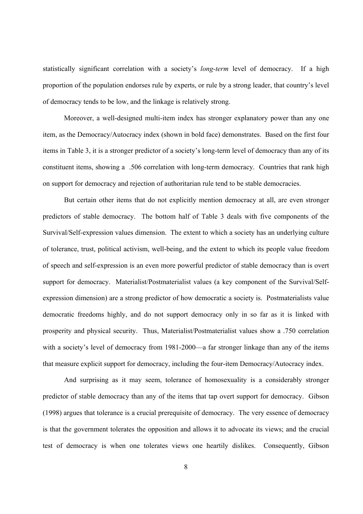statistically significant correlation with a society's *long-term* level of democracy. If a high proportion of the population endorses rule by experts, or rule by a strong leader, that country's level of democracy tends to be low, and the linkage is relatively strong.

Moreover, a well-designed multi-item index has stronger explanatory power than any one item, as the Democracy/Autocracy index (shown in bold face) demonstrates. Based on the first four items in Table 3, it is a stronger predictor of a society's long-term level of democracy than any of its constituent items, showing a .506 correlation with long-term democracy. Countries that rank high on support for democracy and rejection of authoritarian rule tend to be stable democracies.

But certain other items that do not explicitly mention democracy at all, are even stronger predictors of stable democracy. The bottom half of Table 3 deals with five components of the Survival/Self-expression values dimension. The extent to which a society has an underlying culture of tolerance, trust, political activism, well-being, and the extent to which its people value freedom of speech and self-expression is an even more powerful predictor of stable democracy than is overt support for democracy. Materialist/Postmaterialist values (a key component of the Survival/Selfexpression dimension) are a strong predictor of how democratic a society is. Postmaterialists value democratic freedoms highly, and do not support democracy only in so far as it is linked with prosperity and physical security. Thus, Materialist/Postmaterialist values show a .750 correlation with a society's level of democracy from 1981-2000—a far stronger linkage than any of the items that measure explicit support for democracy, including the four-item Democracy/Autocracy index.

And surprising as it may seem, tolerance of homosexuality is a considerably stronger predictor of stable democracy than any of the items that tap overt support for democracy. Gibson (1998) argues that tolerance is a crucial prerequisite of democracy. The very essence of democracy is that the government tolerates the opposition and allows it to advocate its views; and the crucial test of democracy is when one tolerates views one heartily dislikes. Consequently, Gibson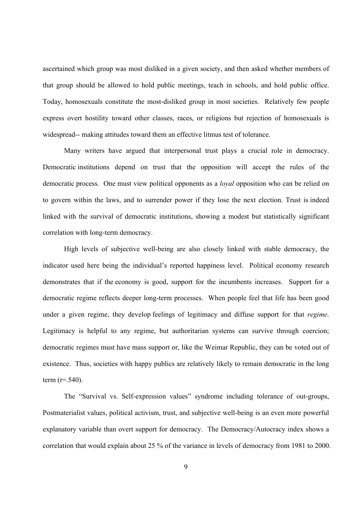ascertained which group was most disliked in a given society, and then asked whether members of that group should be allowed to hold public meetings, teach in schools, and hold public office. Today, homosexuals constitute the most-disliked group in most societies. Relatively few people express overt hostility toward other classes, races, or religions but rejection of homosexuals is widespread-- making attitudes toward them an effective litmus test of tolerance.

Many writers have argued that interpersonal trust plays a crucial role in democracy. Democratic institutions depend on trust that the opposition will accept the rules of the democratic process. One must view political opponents as a *loyal* opposition who can be relied on to govern within the laws, and to surrender power if they lose the next election. Trust is indeed linked with the survival of democratic institutions, showing a modest but statistically significant correlation with long-term democracy.

High levels of subjective well-being are also closely linked with stable democracy, the indicator used here being the individual's reported happiness level. Political economy research demonstrates that if the economy is good, support for the incumbents increases. Support for a democratic regime reflects deeper long-term processes. When people feel that life has been good under a given regime, they develop feelings of legitimacy and diffuse support for that *regime*. Legitimacy is helpful to any regime, but authoritarian systems can survive through coercion; democratic regimes must have mass support or, like the Weimar Republic, they can be voted out of existence. Thus, societies with happy publics are relatively likely to remain democratic in the long term  $(r = .540)$ .

The "Survival vs. Self-expression values" syndrome including tolerance of out-groups, Postmaterialist values, political activism, trust, and subjective well-being is an even more powerful explanatory variable than overt support for democracy. The Democracy/Autocracy index shows a correlation that would explain about 25 % of the variance in levels of democracy from 1981 to 2000.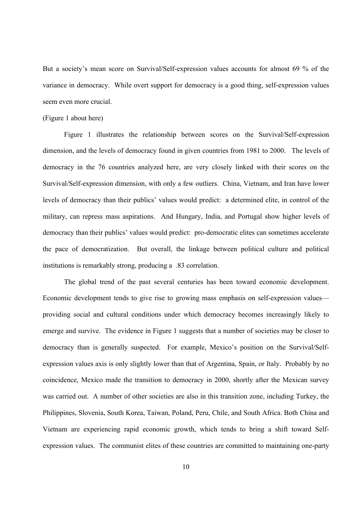But a society's mean score on Survival/Self-expression values accounts for almost 69 % of the variance in democracy. While overt support for democracy is a good thing, self-expression values seem even more crucial.

#### (Figure 1 about here)

 Figure 1 illustrates the relationship between scores on the Survival/Self-expression dimension, and the levels of democracy found in given countries from 1981 to 2000. The levels of democracy in the 76 countries analyzed here, are very closely linked with their scores on the Survival/Self-expression dimension, with only a few outliers. China, Vietnam, and Iran have lower levels of democracy than their publics' values would predict: a determined elite, in control of the military, can repress mass aspirations. And Hungary, India, and Portugal show higher levels of democracy than their publics' values would predict: pro-democratic elites can sometimes accelerate the pace of democratization. But overall, the linkage between political culture and political institutions is remarkably strong, producing a .83 correlation.

The global trend of the past several centuries has been toward economic development. Economic development tends to give rise to growing mass emphasis on self-expression values providing social and cultural conditions under which democracy becomes increasingly likely to emerge and survive. The evidence in Figure 1 suggests that a number of societies may be closer to democracy than is generally suspected. For example, Mexico's position on the Survival/Selfexpression values axis is only slightly lower than that of Argentina, Spain, or Italy. Probably by no coincidence, Mexico made the transition to democracy in 2000, shortly after the Mexican survey was carried out. A number of other societies are also in this transition zone, including Turkey, the Philippines, Slovenia, South Korea, Taiwan, Poland, Peru, Chile, and South Africa. Both China and Vietnam are experiencing rapid economic growth, which tends to bring a shift toward Selfexpression values. The communist elites of these countries are committed to maintaining one-party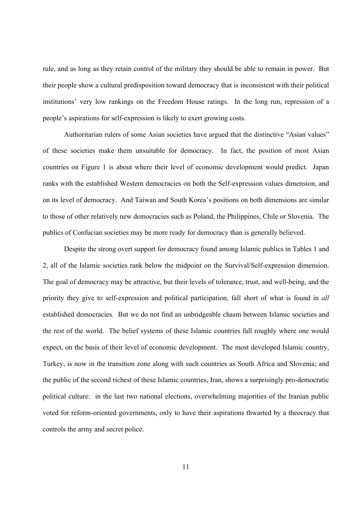rule, and as long as they retain control of the military they should be able to remain in power. But their people show a cultural predisposition toward democracy that is inconsistent with their political institutions' very low rankings on the Freedom House ratings. In the long run, repression of a people's aspirations for self-expression is likely to exert growing costs.

Authoritarian rulers of some Asian societies have argued that the distinctive "Asian values" of these societies make them unsuitable for democracy. In fact, the position of most Asian countries on Figure 1 is about where their level of economic development would predict. Japan ranks with the established Western democracies on both the Self-expression values dimension, and on its level of democracy. And Taiwan and South Korea's positions on both dimensions are similar to those of other relatively new democracies such as Poland, the Philippines, Chile or Slovenia. The publics of Confucian societies may be more ready for democracy than is generally believed.

Despite the strong overt support for democracy found among Islamic publics in Tables 1 and 2, all of the Islamic societies rank below the midpoint on the Survival/Self-expression dimension. The goal of democracy may be attractive, but their levels of tolerance, trust, and well-being, and the priority they give to self-expression and political participation, fall short of what is found in *all* established democracies. But we do not find an unbridgeable chasm between Islamic societies and the rest of the world. The belief systems of these Islamic countries fall roughly where one would expect, on the basis of their level of economic development. The most developed Islamic country, Turkey, is now in the transition zone along with such countries as South Africa and Slovenia; and the public of the second richest of these Islamic countries, Iran, shows a surprisingly pro-democratic political culture: in the last two national elections, overwhelming majorities of the Iranian public voted for reform-oriented governments, only to have their aspirations thwarted by a theocracy that controls the army and secret police.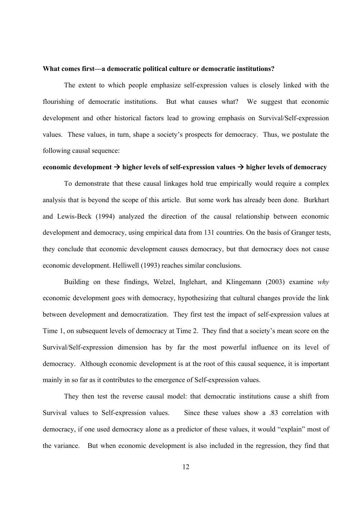#### **What comes first—a democratic political culture or democratic institutions?**

 The extent to which people emphasize self-expression values is closely linked with the flourishing of democratic institutions. But what causes what? We suggest that economic development and other historical factors lead to growing emphasis on Survival/Self-expression values. These values, in turn, shape a society's prospects for democracy. Thus, we postulate the following causal sequence:

### **economic development**  $\rightarrow$  **higher levels of self-expression values**  $\rightarrow$  **higher levels of democracy**

To demonstrate that these causal linkages hold true empirically would require a complex analysis that is beyond the scope of this article. But some work has already been done. Burkhart and Lewis-Beck (1994) analyzed the direction of the causal relationship between economic development and democracy, using empirical data from 131 countries. On the basis of Granger tests, they conclude that economic development causes democracy, but that democracy does not cause economic development. Helliwell (1993) reaches similar conclusions.

Building on these findings, Welzel, Inglehart, and Klingemann (2003) examine *why* economic development goes with democracy, hypothesizing that cultural changes provide the link between development and democratization. They first test the impact of self-expression values at Time 1, on subsequent levels of democracy at Time 2. They find that a society's mean score on the Survival/Self-expression dimension has by far the most powerful influence on its level of democracy. Although economic development is at the root of this causal sequence, it is important mainly in so far as it contributes to the emergence of Self-expression values.

They then test the reverse causal model: that democratic institutions cause a shift from Survival values to Self-expression values. Since these values show a .83 correlation with democracy, if one used democracy alone as a predictor of these values, it would "explain" most of the variance. But when economic development is also included in the regression, they find that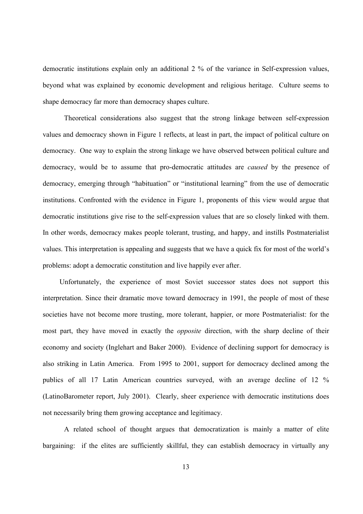democratic institutions explain only an additional 2 % of the variance in Self-expression values, beyond what was explained by economic development and religious heritage. Culture seems to shape democracy far more than democracy shapes culture.

Theoretical considerations also suggest that the strong linkage between self-expression values and democracy shown in Figure 1 reflects, at least in part, the impact of political culture on democracy. One way to explain the strong linkage we have observed between political culture and democracy, would be to assume that pro-democratic attitudes are *caused* by the presence of democracy, emerging through "habituation" or "institutional learning" from the use of democratic institutions. Confronted with the evidence in Figure 1, proponents of this view would argue that democratic institutions give rise to the self-expression values that are so closely linked with them. In other words, democracy makes people tolerant, trusting, and happy, and instills Postmaterialist values. This interpretation is appealing and suggests that we have a quick fix for most of the world's problems: adopt a democratic constitution and live happily ever after.

Unfortunately, the experience of most Soviet successor states does not support this interpretation. Since their dramatic move toward democracy in 1991, the people of most of these societies have not become more trusting, more tolerant, happier, or more Postmaterialist: for the most part, they have moved in exactly the *opposite* direction, with the sharp decline of their economy and society (Inglehart and Baker 2000). Evidence of declining support for democracy is also striking in Latin America. From 1995 to 2001, support for democracy declined among the publics of all 17 Latin American countries surveyed, with an average decline of 12 % (LatinoBarometer report, July 2001). Clearly, sheer experience with democratic institutions does not necessarily bring them growing acceptance and legitimacy.

A related school of thought argues that democratization is mainly a matter of elite bargaining: if the elites are sufficiently skillful, they can establish democracy in virtually any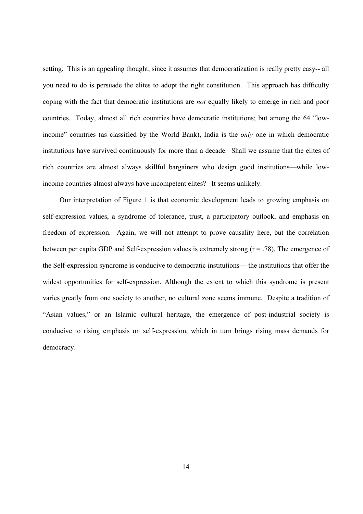setting. This is an appealing thought, since it assumes that democratization is really pretty easy-- all you need to do is persuade the elites to adopt the right constitution. This approach has difficulty coping with the fact that democratic institutions are *not* equally likely to emerge in rich and poor countries. Today, almost all rich countries have democratic institutions; but among the 64 "lowincome" countries (as classified by the World Bank), India is the *only* one in which democratic institutions have survived continuously for more than a decade. Shall we assume that the elites of rich countries are almost always skillful bargainers who design good institutions—while lowincome countries almost always have incompetent elites? It seems unlikely.

Our interpretation of Figure 1 is that economic development leads to growing emphasis on self-expression values, a syndrome of tolerance, trust, a participatory outlook, and emphasis on freedom of expression. Again, we will not attempt to prove causality here, but the correlation between per capita GDP and Self-expression values is extremely strong  $(r = .78)$ . The emergence of the Self-expression syndrome is conducive to democratic institutions— the institutions that offer the widest opportunities for self-expression. Although the extent to which this syndrome is present varies greatly from one society to another, no cultural zone seems immune. Despite a tradition of "Asian values," or an Islamic cultural heritage, the emergence of post-industrial society is conducive to rising emphasis on self-expression, which in turn brings rising mass demands for democracy.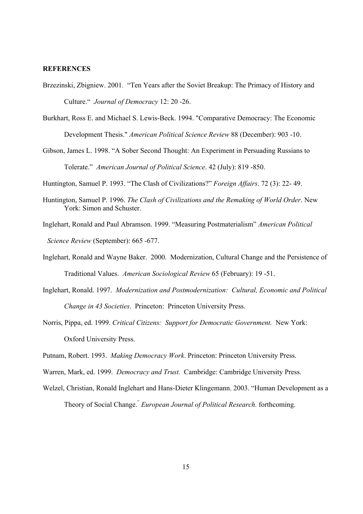#### **REFERENCES**

- Brzezinski, Zbigniew. 2001*.* "Ten Years after the Soviet Breakup: The Primacy of History and Culture." *Journal of Democracy* 12: 20 -26.
- Burkhart, Ross E. and Michael S. Lewis-Beck. 1994. "Comparative Democracy: The Economic Development Thesis." *American Political Science Review* 88 (December): 903 -10.
- Gibson, James L. 1998. "A Sober Second Thought: An Experiment in Persuading Russians to Tolerate." *American Journal of Political Science*. 42 (July): 819 -850.

Huntington, Samuel P. 1993. "The Clash of Civilizations?" *Foreign Affairs*. 72 (3): 22- 49.

- Huntington, Samuel P. 1996. *The Clash of Civilizations and the Remaking of World Order*. New York: Simon and Schuster.
- Inglehart, Ronald and Paul Abramson. 1999. "Measuring Postmaterialism" *American Political Science Review* (September): 665 -677.
- Inglehart, Ronald and Wayne Baker. 2000. Modernization, Cultural Change and the Persistence of Traditional Values. *American Sociological Review* 65 (February): 19 -51.
- Inglehart, Ronald. 1997. *Modernization and Postmodernization: Cultural, Economic and Political Change in 43 Societies*. Princeton: Princeton University Press.
- Norris, Pippa, ed. 1999. *Critical Citizens: Support for Democratic Government.* New York: Oxford University Press.
- Putnam, Robert. 1993. *Making Democracy Work*. Princeton: Princeton University Press.
- Warren, Mark, ed. 1999. *Democracy and Trust.* Cambridge: Cambridge University Press.
- Welzel, Christian, Ronald Inglehart and Hans-Dieter Klingemann. 2003. "Human Development as a Theory of Social Change." *European Journal of Political Research.* forthcoming.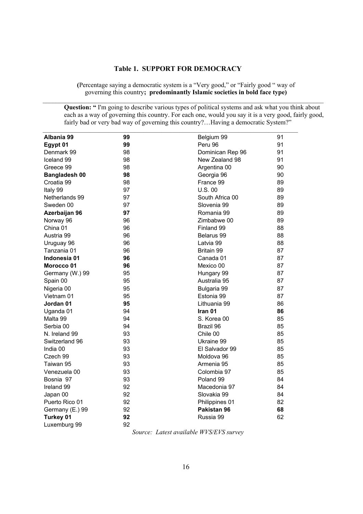# **Table 1. SUPPORT FOR DEMOCRACY**

**(**Percentage saying a democratic system is a "Very good," or "Fairly good " way of governing this country**; predominantly Islamic societies in bold face type)** 

 $\_$  , and the set of the set of the set of the set of the set of the set of the set of the set of the set of the set of the set of the set of the set of the set of the set of the set of the set of the set of the set of th

**Question: "** I'm going to describe various types of political systems and ask what you think about each as a way of governing this country. For each one, would you say it is a very good, fairly good, fairly bad or very bad way of governing this country?...Having a democratic System?"

| Albania 99           | 99 | Belgium 99       | 91 |
|----------------------|----|------------------|----|
| Egypt 01             | 99 | Peru 96          | 91 |
| Denmark 99           | 98 | Dominican Rep 96 | 91 |
| Iceland 99           | 98 | New Zealand 98   | 91 |
| Greece 99            | 98 | Argentina 00     | 90 |
| <b>Bangladesh 00</b> | 98 | Georgia 96       | 90 |
| Croatia 99           | 98 | France 99        | 89 |
| Italy 99             | 97 | U.S.00           | 89 |
| Netherlands 99       | 97 | South Africa 00  | 89 |
| Sweden 00            | 97 | Slovenia 99      | 89 |
| Azerbaijan 96        | 97 | Romania 99       | 89 |
| Norway 96            | 96 | Zimbabwe 00      | 89 |
| China 01             | 96 | Finland 99       | 88 |
| Austria 99           | 96 | Belarus 99       | 88 |
| Uruguay 96           | 96 | Latvia 99        | 88 |
| Tanzania 01          | 96 | Britain 99       | 87 |
| Indonesia 01         | 96 | Canada 01        | 87 |
| Morocco 01           | 96 | Mexico 00        | 87 |
| Germany (W.) 99      | 95 | Hungary 99       | 87 |
| Spain 00             | 95 | Australia 95     | 87 |
| Nigeria 00           | 95 | Bulgaria 99      | 87 |
| Vietnam 01           | 95 | Estonia 99       | 87 |
| Jordan 01            | 95 | Lithuania 99     | 86 |
| Uganda 01            | 94 | Iran 01          | 86 |
| Malta 99             | 94 | S. Korea 00      | 85 |
| Serbia 00            | 94 | Brazil 96        | 85 |
| N. Ireland 99        | 93 | Chile 00         | 85 |
| Switzerland 96       | 93 | Ukraine 99       | 85 |
| India 00             | 93 | El Salvador 99   | 85 |
| Czech 99             | 93 | Moldova 96       | 85 |
| Taiwan 95            | 93 | Armenia 95       | 85 |
| Venezuela 00         | 93 | Colombia 97      | 85 |
| Bosnia 97            | 93 | Poland 99        | 84 |
| Ireland 99           | 92 | Macedonia 97     | 84 |
| Japan 00             | 92 | Slovakia 99      | 84 |
| Puerto Rico 01       | 92 | Philippines 01   | 82 |
| Germany (E.) 99      | 92 | Pakistan 96      | 68 |
| <b>Turkey 01</b>     | 92 | Russia 99        | 62 |
| Luxemburg 99         | 92 |                  |    |

*Source: Latest available WVS/EVS survey*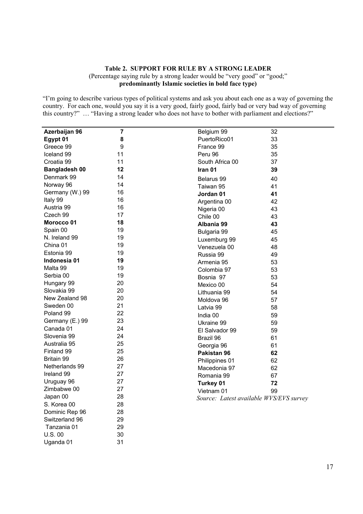#### **Table 2. SUPPORT FOR RULE BY A STRONG LEADER**  (Percentage saying rule by a strong leader would be "very good" or "good;" **predominantly Islamic societies in bold face type)**

"I'm going to describe various types of political systems and ask you about each one as a way of governing the country. For each one, would you say it is a very good, fairly good, fairly bad or very bad way of governing this country?" … "Having a strong leader who does not have to bother with parliament and elections?"

| Azerbaijan 96        | $\overline{7}$ | 32<br>Belgium 99                        |
|----------------------|----------------|-----------------------------------------|
| Egypt 01             | 8              | 33<br>PuertoRico01                      |
| Greece 99            | 9              | France 99<br>35                         |
| Iceland 99           | 11             | Peru 96<br>35                           |
| Croatia 99           | 11             | 37<br>South Africa 00                   |
| <b>Bangladesh 00</b> | 12             | Iran 01<br>39                           |
| Denmark 99           | 14             | Belarus 99<br>40                        |
| Norway 96            | 14             | Taiwan 95<br>41                         |
| Germany (W.) 99      | 16             | 41<br>Jordan 01                         |
| Italy 99             | 16             | Argentina 00<br>42                      |
| Austria 99           | 16             | 43<br>Nigeria 00                        |
| Czech 99             | 17             | Chile 00<br>43                          |
| Morocco 01           | 18             | Albania 99<br>43                        |
| Spain 00             | 19             | 45<br>Bulgaria 99                       |
| N. Ireland 99        | 19             | 45<br>Luxemburg 99                      |
| China 01             | 19             | Venezuela 00<br>48                      |
| Estonia 99           | 19             | Russia 99<br>49                         |
| Indonesia 01         | 19             | Armenia 95<br>53                        |
| Malta 99             | 19             | 53<br>Colombia 97                       |
| Serbia 00            | 19             | 53<br>Bosnia 97                         |
| Hungary 99           | 20             | 54<br>Mexico 00                         |
| Slovakia 99          | 20             | Lithuania 99<br>54                      |
| New Zealand 98       | 20             | Moldova 96<br>57                        |
| Sweden 00            | 21             | Latvia 99<br>58                         |
| Poland 99            | 22             | India 00<br>59                          |
| Germany (E.) 99      | 23             | Ukraine 99<br>59                        |
| Canada 01            | 24             | 59<br>El Salvador 99                    |
| Slovenia 99          | 24             | Brazil 96<br>61                         |
| Australia 95         | 25             | 61<br>Georgia 96                        |
| Finland 99           | 25             | Pakistan 96<br>62                       |
| Britain 99           | 26             | 62<br>Philippines 01                    |
| Netherlands 99       | 27             | Macedonia 97<br>62                      |
| Ireland 99           | 27             | 67<br>Romania 99                        |
| Uruguay 96           | 27             | 72<br><b>Turkey 01</b>                  |
| Zimbabwe 00          | 27             | Vietnam 01<br>99                        |
| Japan 00             | 28             | Source: Latest available WVS/EVS survey |
| S. Korea 00          | 28             |                                         |
| Dominic Rep 96       | 28             |                                         |
| Switzerland 96       | 29             |                                         |
| Tanzania 01          | 29             |                                         |
| U.S.00               | 30             |                                         |
| Uganda 01            | 31             |                                         |